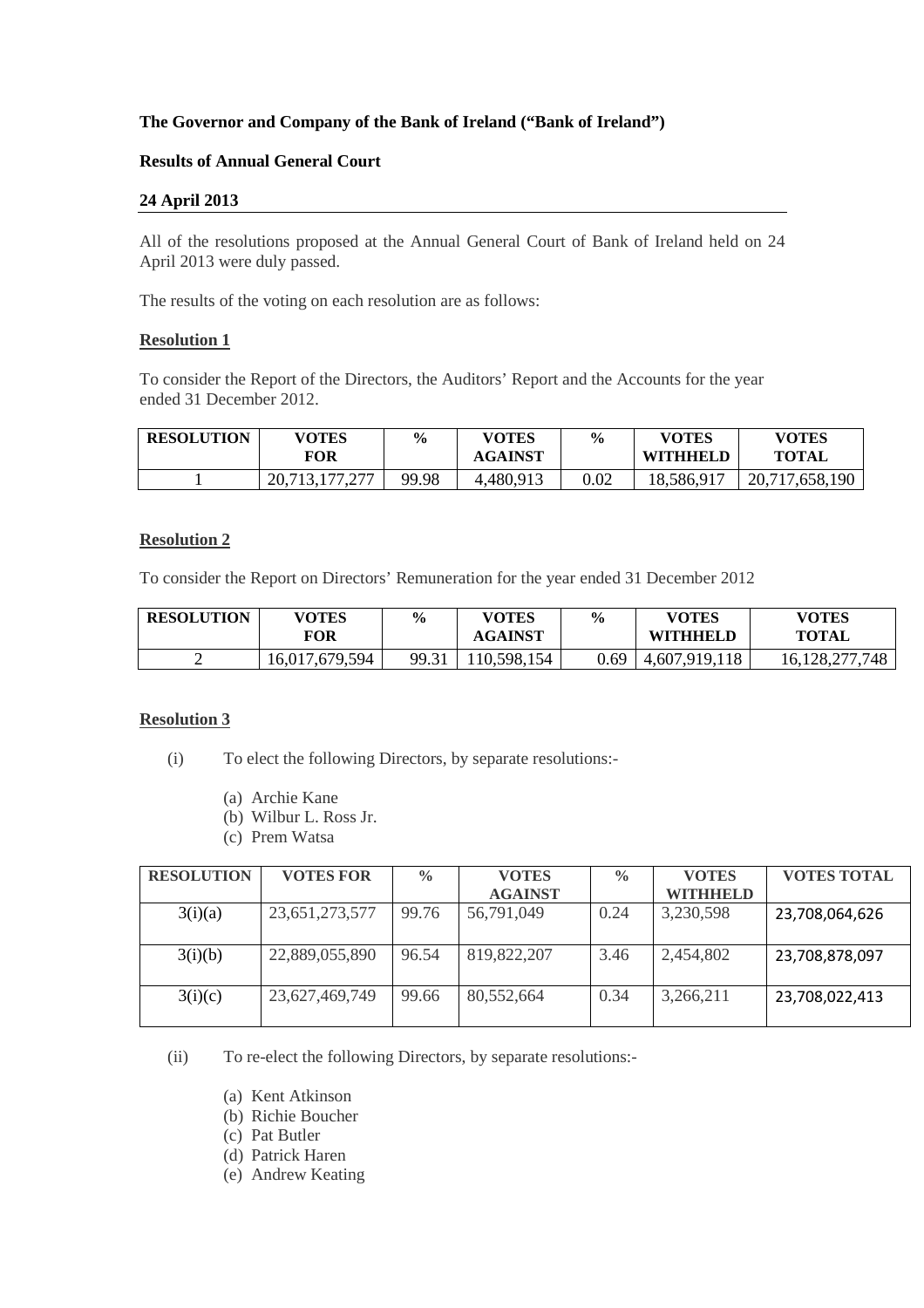## **The Governor and Company of the Bank of Ireland ("Bank of Ireland")**

## **Results of Annual General Court**

## **24 April 2013**

All of the resolutions proposed at the Annual General Court of Bank of Ireland held on 24 April 2013 were duly passed.

The results of the voting on each resolution are as follows:

### **Resolution 1**

To consider the Report of the Directors, the Auditors' Report and the Accounts for the year ended 31 December 2012.

| <b>RESOLUTION</b> | <b>VOTES</b><br>FOR | $\frac{6}{6}$ | <b>VOTES</b><br><b>AGAINST</b> | $\frac{0}{0}$ | <b>VOTES</b><br><b>WITHHELD</b> | <b>VOTES</b><br><b>TOTAL</b> |
|-------------------|---------------------|---------------|--------------------------------|---------------|---------------------------------|------------------------------|
|                   | 20,713,177,277      | 99.98         | 4,480,913                      | $0.02\,$      | 18,586,917                      | 20,717,658,190               |

## **Resolution 2**

To consider the Report on Directors' Remuneration for the year ended 31 December 2012

| <b>RESOLUTION</b> | <b>VOTES</b><br>FOR | $\frac{6}{6}$ | <b>VOTES</b><br><b>AGAINST</b> | $\frac{0}{0}$ | <b>VOTES</b><br><b>WITHHELD</b> | <b>VOTES</b><br><b>TOTAL</b> |
|-------------------|---------------------|---------------|--------------------------------|---------------|---------------------------------|------------------------------|
|                   | 16,017,679,594      | 99.31         | 110,598,<br>154                | 0.69          | 4,607,919,118                   | 16,128,277,748               |

## **Resolution 3**

- (i) To elect the following Directors, by separate resolutions:-
	- (a) Archie Kane
	- (b) Wilbur L. Ross Jr.
	- (c) Prem Watsa

| <b>RESOLUTION</b> | <b>VOTES FOR</b> | $\frac{0}{0}$ | <b>VOTES</b>   | $\frac{0}{0}$ | <b>VOTES</b>    | <b>VOTES TOTAL</b> |
|-------------------|------------------|---------------|----------------|---------------|-----------------|--------------------|
|                   |                  |               | <b>AGAINST</b> |               | <b>WITHHELD</b> |                    |
| 3(i)(a)           | 23,651,273,577   | 99.76         | 56,791,049     | 0.24          | 3,230,598       | 23,708,064,626     |
| 3(i)(b)           | 22,889,055,890   | 96.54         | 819, 822, 207  | 3.46          | 2,454,802       | 23,708,878,097     |
| 3(i)(c)           | 23,627,469,749   | 99.66         | 80,552,664     | 0.34          | 3,266,211       | 23,708,022,413     |

(ii) To re-elect the following Directors, by separate resolutions:-

- (a) Kent Atkinson
- (b) Richie Boucher
- (c) Pat Butler
- (d) Patrick Haren
- (e) Andrew Keating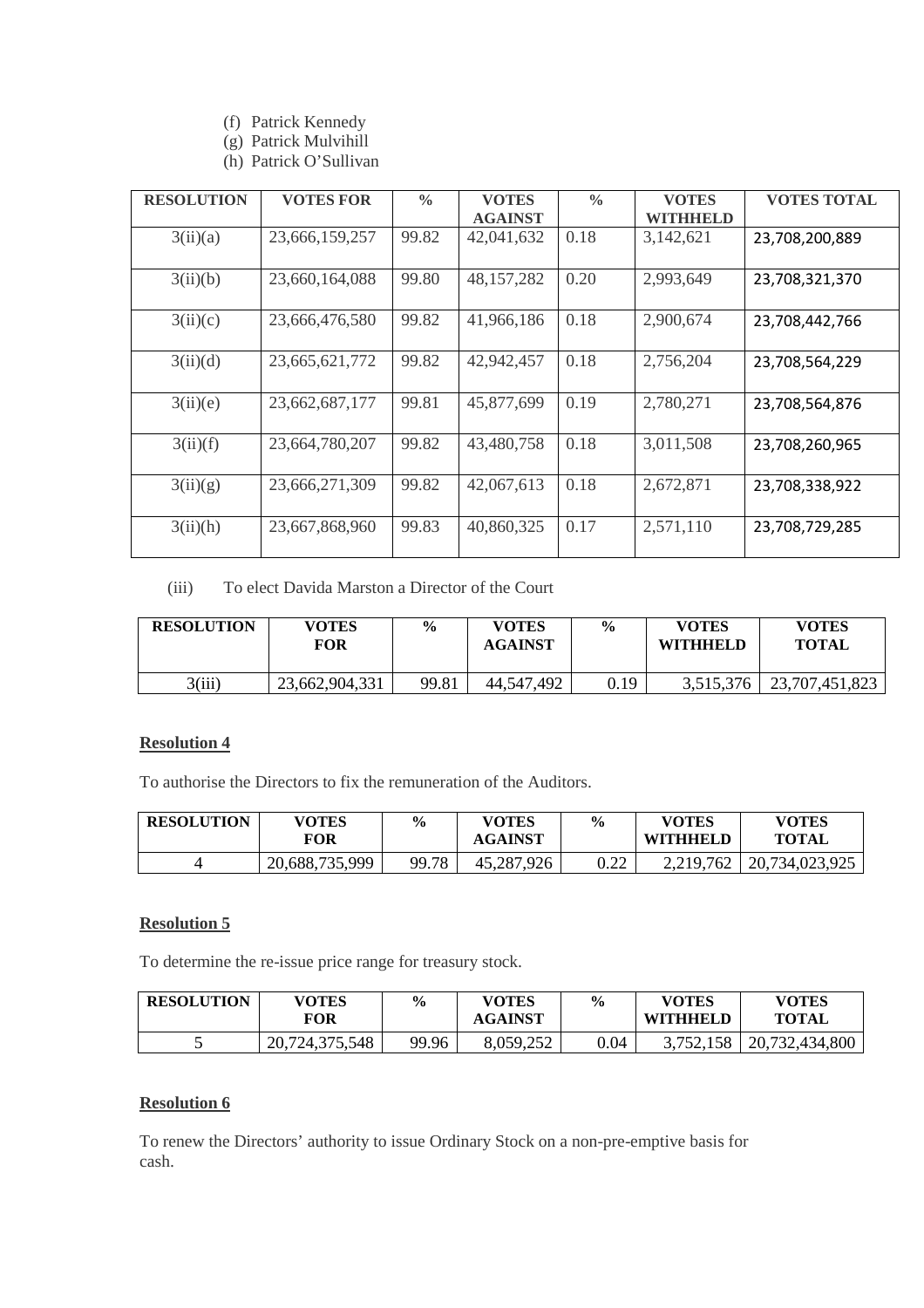- (f) Patrick Kennedy
- (g) Patrick Mulvihill
- (h) Patrick O'Sullivan

| <b>RESOLUTION</b> | <b>VOTES FOR</b> | $\frac{0}{0}$ | <b>VOTES</b>   | $\frac{0}{0}$ | <b>VOTES</b> | <b>VOTES TOTAL</b> |
|-------------------|------------------|---------------|----------------|---------------|--------------|--------------------|
|                   |                  |               | <b>AGAINST</b> |               | WITHHELD     |                    |
|                   |                  |               |                |               |              |                    |
| 3(ii)(a)          | 23,666,159,257   | 99.82         | 42,041,632     | 0.18          | 3,142,621    | 23,708,200,889     |
|                   |                  |               |                |               |              |                    |
| 3(ii)(b)          | 23,660,164,088   | 99.80         | 48, 157, 282   | 0.20          | 2,993,649    | 23,708,321,370     |
|                   |                  |               |                |               |              |                    |
| 3(ii)(c)          | 23,666,476,580   | 99.82         | 41,966,186     | 0.18          | 2,900,674    | 23,708,442,766     |
|                   |                  |               |                |               |              |                    |
| 3(ii)(d)          | 23,665,621,772   | 99.82         | 42,942,457     | 0.18          | 2,756,204    | 23,708,564,229     |
|                   |                  |               |                |               |              |                    |
| 3(ii)(e)          | 23,662,687,177   | 99.81         | 45,877,699     | 0.19          | 2,780,271    | 23,708,564,876     |
|                   |                  |               |                |               |              |                    |
| 3(ii)(f)          | 23,664,780,207   | 99.82         | 43,480,758     | 0.18          | 3,011,508    | 23,708,260,965     |
|                   |                  |               |                |               |              |                    |
| 3(ii)(g)          | 23,666,271,309   | 99.82         | 42,067,613     | 0.18          | 2,672,871    | 23,708,338,922     |
|                   |                  |               |                |               |              |                    |
| 3(ii)(h)          | 23,667,868,960   | 99.83         | 40,860,325     | 0.17          | 2,571,110    | 23,708,729,285     |
|                   |                  |               |                |               |              |                    |

(iii) To elect Davida Marston a Director of the Court

| <b>RESOLUTION</b> | <b>VOTES</b><br>FOR | $\frac{6}{9}$ | <b>VOTES</b><br><b>AGAINST</b> | $\frac{0}{0}$ | <b>VOTES</b><br><b>WITHHELD</b> | <b>VOTES</b><br>TOTAL |
|-------------------|---------------------|---------------|--------------------------------|---------------|---------------------------------|-----------------------|
| 3(iii)            | 23,662,904,331      | 99.81         | 44,547,492                     | 0.19          | 3,515,376                       | 23,707,451,823        |

## **Resolution 4**

To authorise the Directors to fix the remuneration of the Auditors.

| <b>RESOLUTION</b> | <b>VOTES</b><br>FOR | $\frac{6}{6}$ | <b>VOTES</b><br><b>AGAINST</b> | $\frac{6}{9}$                                     | <b>VOTES</b><br><b>WITHHELD</b> | VOTES<br><b>TOTAL</b> |
|-------------------|---------------------|---------------|--------------------------------|---------------------------------------------------|---------------------------------|-----------------------|
|                   | 20,688,735,999      | 99.78         | 45,287,926                     | $\Omega$<br>$\mathsf{U}$ . $\mathsf{L}\mathsf{L}$ | 2,219,762                       | 20,734,023,925        |

# **Resolution 5**

To determine the re-issue price range for treasury stock.

| <b>RESOLUTION</b> | VOTES<br>FOR   | $\frac{0}{0}$ | <b>VOTES</b><br>AGAINST | $\frac{0}{0}$ | <b>VOTES</b><br><b>WITHHELD</b> | <b>VOTES</b><br><b>TOTAL</b> |
|-------------------|----------------|---------------|-------------------------|---------------|---------------------------------|------------------------------|
| ັ                 | 20,724,375,548 | 99.96         | 8,059,252               | 0.04          | 752,158                         | 20,732,434,800               |

## **Resolution 6**

To renew the Directors' authority to issue Ordinary Stock on a non-pre-emptive basis for cash.